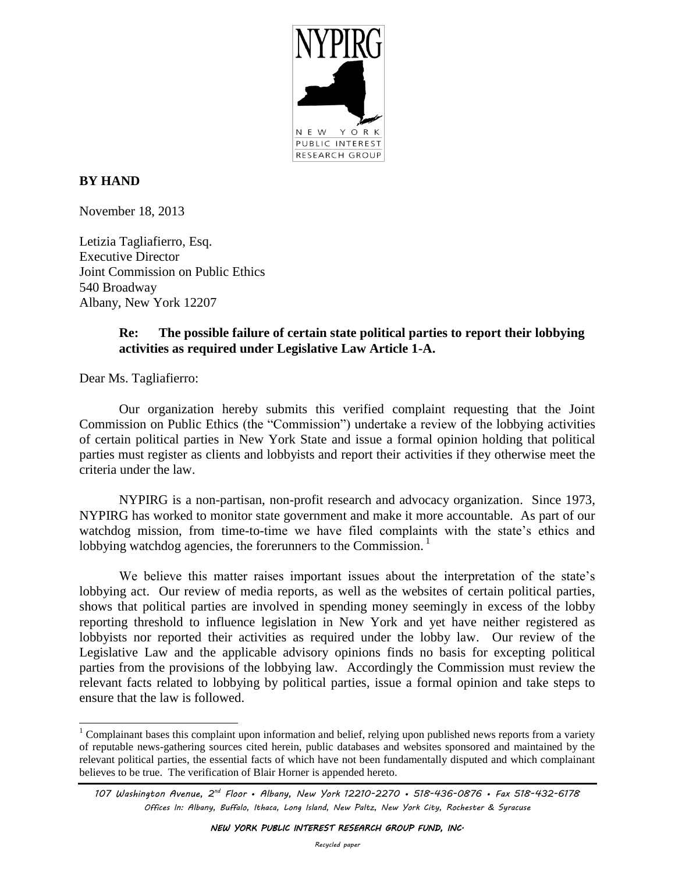

# **BY HAND**

November 18, 2013

Letizia Tagliafierro, Esq. Executive Director Joint Commission on Public Ethics 540 Broadway Albany, New York 12207

## **Re: The possible failure of certain state political parties to report their lobbying activities as required under Legislative Law Article 1-A.**

Dear Ms. Tagliafierro:

 $\overline{a}$ 

Our organization hereby submits this verified complaint requesting that the Joint Commission on Public Ethics (the "Commission") undertake a review of the lobbying activities of certain political parties in New York State and issue a formal opinion holding that political parties must register as clients and lobbyists and report their activities if they otherwise meet the criteria under the law.

NYPIRG is a non-partisan, non-profit research and advocacy organization. Since 1973, NYPIRG has worked to monitor state government and make it more accountable. As part of our watchdog mission, from time-to-time we have filed complaints with the state's ethics and lobbying watchdog agencies, the forerunners to the Commission.<sup>1</sup>

We believe this matter raises important issues about the interpretation of the state's lobbying act. Our review of media reports, as well as the websites of certain political parties, shows that political parties are involved in spending money seemingly in excess of the lobby reporting threshold to influence legislation in New York and yet have neither registered as lobbyists nor reported their activities as required under the lobby law. Our review of the Legislative Law and the applicable advisory opinions finds no basis for excepting political parties from the provisions of the lobbying law. Accordingly the Commission must review the relevant facts related to lobbying by political parties, issue a formal opinion and take steps to ensure that the law is followed.

 $1$  Complainant bases this complaint upon information and belief, relying upon published news reports from a variety of reputable news-gathering sources cited herein, public databases and websites sponsored and maintained by the relevant political parties, the essential facts of which have not been fundamentally disputed and which complainant believes to be true. The verification of Blair Horner is appended hereto.

*<sup>107</sup> Washington Avenue, 2nd Floor • Albany, New York 12210-2270 • 518-436-0876 • Fax 518-432-6178 Offices In: Albany, Buffalo, Ithaca, Long Island, New Paltz, New York City, Rochester & Syracuse*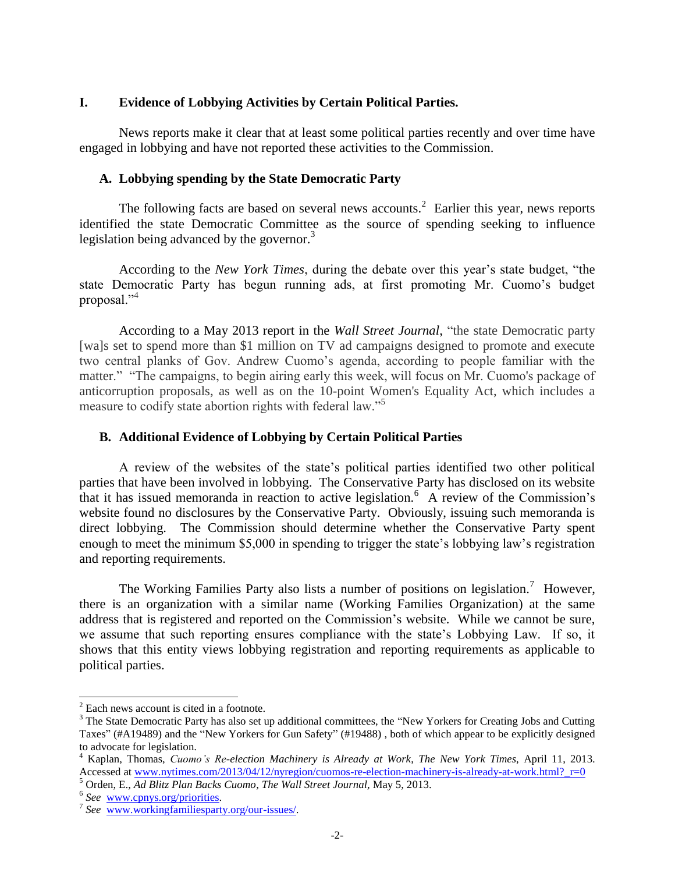## **I. Evidence of Lobbying Activities by Certain Political Parties.**

News reports make it clear that at least some political parties recently and over time have engaged in lobbying and have not reported these activities to the Commission.

## **A. Lobbying spending by the State Democratic Party**

The following facts are based on several news accounts.<sup>2</sup> Earlier this year, news reports identified the state Democratic Committee as the source of spending seeking to influence legislation being advanced by the governor. $3$ 

According to the *New York Times*, during the debate over this year's state budget, "the state Democratic Party has begun running ads, at first promoting Mr. Cuomo's budget proposal."<sup>4</sup>

According to a May 2013 report in the *Wall Street Journal*, "the state Democratic party [wa]s set to spend more than \$1 million on TV ad campaigns designed to promote and execute two central planks of Gov. Andrew Cuomo's agenda, according to people familiar with the matter." "The campaigns, to begin airing early this week, will focus on Mr. Cuomo's package of anticorruption proposals, as well as on the 10-point Women's Equality Act, which includes a measure to codify state abortion rights with federal law."<sup>5</sup>

## **B. Additional Evidence of Lobbying by Certain Political Parties**

A review of the websites of the state's political parties identified two other political parties that have been involved in lobbying. The Conservative Party has disclosed on its website that it has issued memoranda in reaction to active legislation.<sup>6</sup> A review of the Commission's website found no disclosures by the Conservative Party. Obviously, issuing such memoranda is direct lobbying. The Commission should determine whether the Conservative Party spent enough to meet the minimum \$5,000 in spending to trigger the state's lobbying law's registration and reporting requirements.

The Working Families Party also lists a number of positions on legislation.<sup>7</sup> However, there is an organization with a similar name (Working Families Organization) at the same address that is registered and reported on the Commission's website. While we cannot be sure, we assume that such reporting ensures compliance with the state's Lobbying Law. If so, it shows that this entity views lobbying registration and reporting requirements as applicable to political parties.

 $\overline{a}$ 

 $2$  Each news account is cited in a footnote.

<sup>&</sup>lt;sup>3</sup> The State Democratic Party has also set up additional committees, the "New Yorkers for Creating Jobs and Cutting Taxes" (#A19489) and the "New Yorkers for Gun Safety" (#19488) , both of which appear to be explicitly designed to advocate for legislation.

<sup>4</sup> Kaplan, Thomas, *Cuomo's Re-election Machinery is Already at Work*, *The New York Times*, April 11, 2013. Accessed at www.nytimes.com/2013/04/12/nyregion/cuomos-re-election-machinery-is-already-at-work.html? r=0

<sup>5</sup> Orden, E., *Ad Blitz Plan Backs Cuomo*, *The Wall Street Journal,* May 5, 2013.

<sup>6</sup> *See* [www.cpnys.org/priorities.](http://www.cpnys.org/priorities)

<sup>7</sup> *See* [www.workingfamiliesparty.org/our-issues/.](http://www.workingfamiliesparty.org/our-issues/)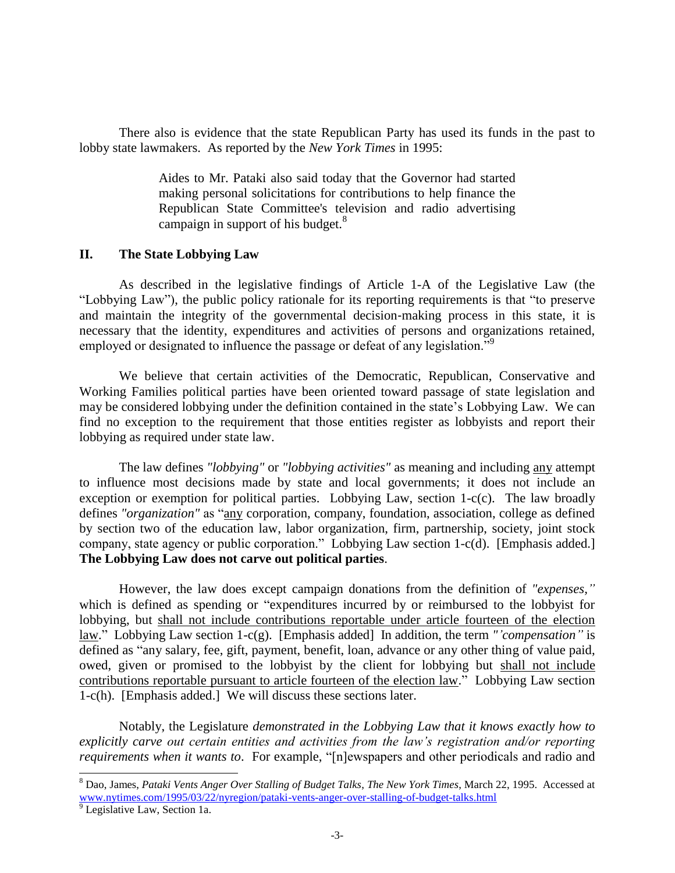There also is evidence that the state Republican Party has used its funds in the past to lobby state lawmakers. As reported by the *New York Times* in 1995:

> Aides to Mr. Pataki also said today that the Governor had started making personal solicitations for contributions to help finance the Republican State Committee's television and radio advertising campaign in support of his budget.<sup>8</sup>

#### **II. The State Lobbying Law**

As described in the legislative findings of Article 1-A of the Legislative Law (the "Lobbying Law"), the public policy rationale for its reporting requirements is that "to preserve and maintain the integrity of the governmental decision‐making process in this state, it is necessary that the identity, expenditures and activities of persons and organizations retained, employed or designated to influence the passage or defeat of any legislation."<sup>9</sup>

We believe that certain activities of the Democratic, Republican, Conservative and Working Families political parties have been oriented toward passage of state legislation and may be considered lobbying under the definition contained in the state's Lobbying Law. We can find no exception to the requirement that those entities register as lobbyists and report their lobbying as required under state law.

The law defines *"lobbying"* or *"lobbying activities"* as meaning and including any attempt to influence most decisions made by state and local governments; it does not include an exception or exemption for political parties. Lobbying Law, section 1-c(c). The law broadly defines *"organization"* as "any corporation, company, foundation, association, college as defined by section two of the education law, labor organization, firm, partnership, society, joint stock company, state agency or public corporation." Lobbying Law section 1-c(d). [Emphasis added.] **The Lobbying Law does not carve out political parties**.

However, the law does except campaign donations from the definition of *"expenses,"*  which is defined as spending or "expenditures incurred by or reimbursed to the lobbyist for lobbying, but shall not include contributions reportable under article fourteen of the election law." Lobbying Law section 1-c(g). [Emphasis added] In addition, the term *"'compensation"* is defined as "any salary, fee, gift, payment, benefit, loan, advance or any other thing of value paid, owed, given or promised to the lobbyist by the client for lobbying but shall not include contributions reportable pursuant to article fourteen of the election law." Lobbying Law section 1-c(h). [Emphasis added.] We will discuss these sections later.

Notably, the Legislature *demonstrated in the Lobbying Law that it knows exactly how to explicitly carve out certain entities and activities from the law's registration and/or reporting requirements when it wants to*. For example, "[n]ewspapers and other periodicals and radio and

 $\overline{a}$ 

<sup>8</sup> Dao, James, *Pataki Vents Anger Over Stalling of Budget Talks*, *The New York Times*, March 22, 1995. Accessed at [www.nytimes.com/1995/03/22/nyregion/pataki-vents-anger-over-stalling-of-budget-talks.html](http://www.nytimes.com/1995/03/22/nyregion/pataki-vents-anger-over-stalling-of-budget-talks.html)

<sup>&</sup>lt;sup>9</sup> Legislative Law, Section 1a.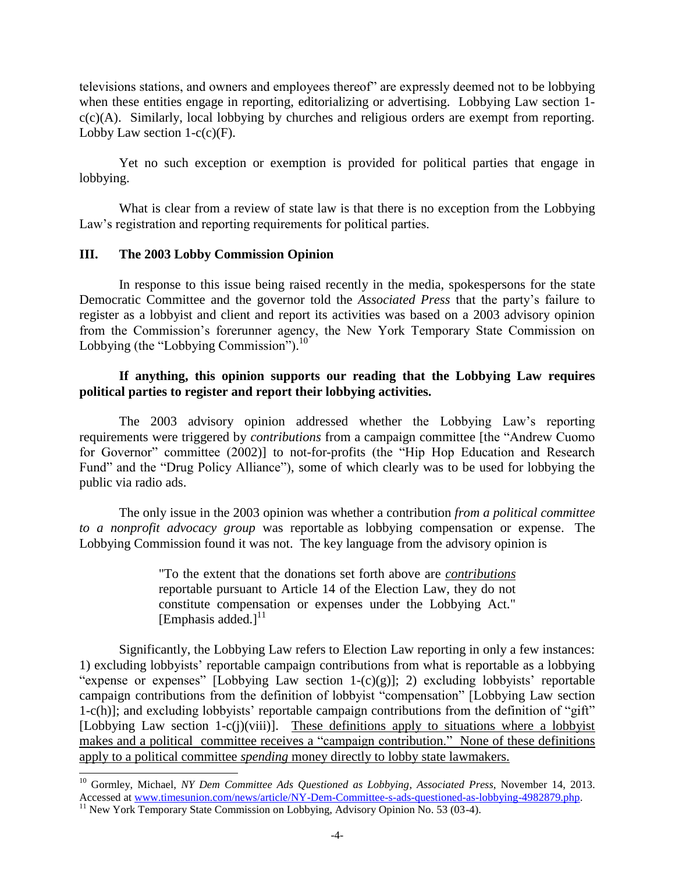televisions stations, and owners and employees thereof" are expressly deemed not to be lobbying when these entities engage in reporting, editorializing or advertising. Lobbying Law section 1 $c(c)(A)$ . Similarly, local lobbying by churches and religious orders are exempt from reporting. Lobby Law section  $1-c(c)$ (F).

Yet no such exception or exemption is provided for political parties that engage in lobbying.

What is clear from a review of state law is that there is no exception from the Lobbying Law's registration and reporting requirements for political parties.

## **III. The 2003 Lobby Commission Opinion**

In response to this issue being raised recently in the media, spokespersons for the state Democratic Committee and the governor told the *Associated Press* that the party's failure to register as a lobbyist and client and report its activities was based on a 2003 advisory opinion from the Commission's forerunner agency, the New York Temporary State Commission on Lobbying (the "Lobbying Commission"). $10^{\circ}$ 

## **If anything, this opinion supports our reading that the Lobbying Law requires political parties to register and report their lobbying activities.**

The 2003 advisory opinion addressed whether the Lobbying Law's reporting requirements were triggered by *contributions* from a campaign committee [the "Andrew Cuomo for Governor" committee (2002)] to not-for-profits (the "Hip Hop Education and Research Fund" and the "Drug Policy Alliance"), some of which clearly was to be used for lobbying the public via radio ads.

The only issue in the 2003 opinion was whether a contribution *from a political committee to a nonprofit advocacy group* was reportable as lobbying compensation or expense. The Lobbying Commission found it was not. The key language from the advisory opinion is

> "To the extent that the donations set forth above are *contributions* reportable pursuant to Article 14 of the Election Law, they do not constitute compensation or expenses under the Lobbying Act." [Emphasis added.] $^{11}$

Significantly, the Lobbying Law refers to Election Law reporting in only a few instances: 1) excluding lobbyists' reportable campaign contributions from what is reportable as a lobbying "expense or expenses" [Lobbying Law section 1- $(c)(g)$ ]; 2) excluding lobbyists' reportable campaign contributions from the definition of lobbyist "compensation" [Lobbying Law section 1-c(h)]; and excluding lobbyists' reportable campaign contributions from the definition of "gift" [Lobbying Law section 1-c(j)(viii)]. These definitions apply to situations where a lobbyist makes and a political committee receives a "campaign contribution." None of these definitions apply to a political committee *spending* money directly to lobby state lawmakers.

 $\overline{a}$ 

<sup>10</sup> Gormley, Michael, *NY Dem Committee Ads Questioned as Lobbying*, *Associated Press*, November 14, 2013. Accessed at [www.timesunion.com/news/article/NY-Dem-Committee-s-ads-questioned-as-lobbying-4982879.php.](http://www.timesunion.com/news/article/NY-Dem-Committee-s-ads-questioned-as-lobbying-4982879.php)

 $11$  New York Temporary State Commission on Lobbying, Advisory Opinion No. 53 (03-4).